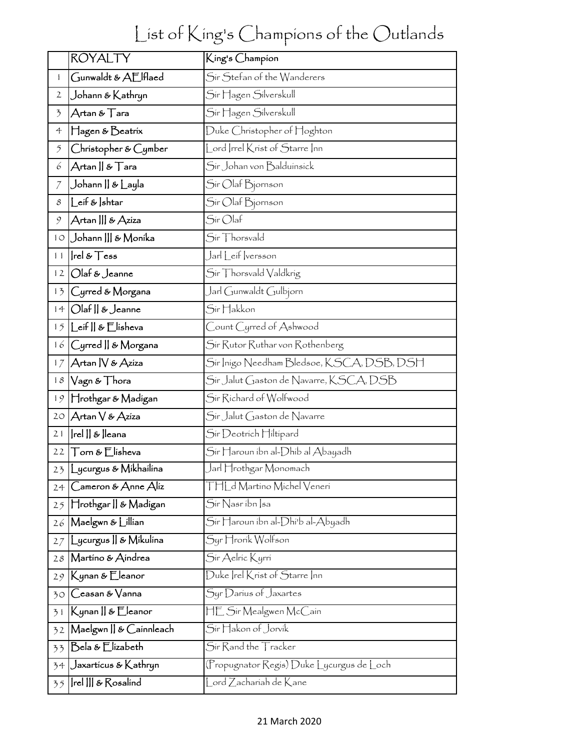## List of King's Champions of the Outlands

|                          | <b>ROYALTY</b>                                                | King's Champion                           |
|--------------------------|---------------------------------------------------------------|-------------------------------------------|
| $\mathbf{1}$             | Gunwaldt & AElflaed                                           | Sir Stefan of the Wanderers               |
| $\mathbf{2}$             | Johann & Kathryn                                              | Sir Hagen Silverskull                     |
| $\overline{\mathcal{L}}$ | Artan & Tara                                                  | Sir Hagen Silverskull                     |
| 4                        | Hagen & Beatrix                                               | Duke Christopher of Hoghton               |
| $\tilde{2}$              | Christopher & Cymber                                          | Lord Irrel Krist of Starre Inn            |
| 6                        | $\mathcal{A}$ rtan    & $\mathcal{T}$ ara                     | Sír Johan von Balduínsíck                 |
| $\mathcal I$             | Johann    & Layla                                             | Sir Olaf Bjornson                         |
| 8                        | eif &  shtar_                                                 | Sir Olaf Bjornson                         |
| 9                        | Artan    & Aziza                                              | $S$ ír Olaf                               |
| $1^{\circ}$              | Johann    & Monika                                            | Sir Thorsvald                             |
| 11                       | $ rel \& \mathsf{Tess}$                                       | Jarl Leif versson                         |
| 12                       | Olaf & Jeanne                                                 | Sir Thorsvald Valdkrig                    |
| 13                       | Cyrred & Morgana                                              | Jarl Gunwaldt Gulbjorn                    |
| 14                       | Olaf    & Jeanne                                              | Sir Hakkon                                |
| 15                       | _eif    & Elísheva                                            | Count Cyrred of Ashwood                   |
| 16                       | Cyrred    & Morgana                                           | Sir Rutor Ruthar von Rothenberg           |
| 17                       | Artan   V & Aziza                                             | Sir Inigo Needham Bledsoe, KSCA, DSB, DSH |
| 18                       | Vagn & Thora                                                  | Sír Jalut Gaston de Navarre, KSCA, DSB    |
| 19                       | Hrothgar & Madígan                                            | Sir Richard of Wolfwood                   |
| 20                       | Artan V & Azíza                                               | Sir Jalut Gaston de Navarre               |
| 21                       | Irel    &  leana                                              | Sir Deotrich Hiltipard                    |
| 22                       | $\top$ orn & $\mathsf E$ lisheva                              | Sir Haroun ibn al-Dhib al Abayadh         |
|                          | 23 Lycurgus & Mikhailina                                      | Jarl Hrothgar Monomach                    |
| 24                       | $\bigcirc$ ameron & $\bigtriangleup$ nne $\bigtriangleup$ liz | THLd Martino Michel Veneri                |
| 25                       | Hrothgar    & Madigan                                         | Sir Nasribn Isa                           |
| 26                       | Maelgwn & Lillian                                             | Sír Haroun íbn al-Dhí'b al-Abyadh         |
| 27                       | _ycurgus    & Mikulina                                        | Syr Hrorik Wolfson                        |
| 28                       | Martino & Aindrea                                             | Sir Aelric Kyrri                          |
| 29                       | Kynan & Eleanor                                               | Duke Irel Krist of Starre Inn             |
| 30                       | Ceasan & Vanna                                                | Syr Darius of Jaxartes                    |
| 31                       | Kynan    & Eleanor                                            | HE Sir Mealgwen McCain                    |
| 32                       | Maelgwn    & Cainnleach                                       | Sir Hakon of Jorvik                       |
| 33                       | Bela & Elizabeth                                              | Sir Rand the Tracker                      |
| 34                       | Jaxartícus & Kathryn                                          | (Propugnator Regis) Duke Lycurgus de Loch |
| 35                       | Irel III & Rosalind                                           | Lord Zachariah de Kane                    |